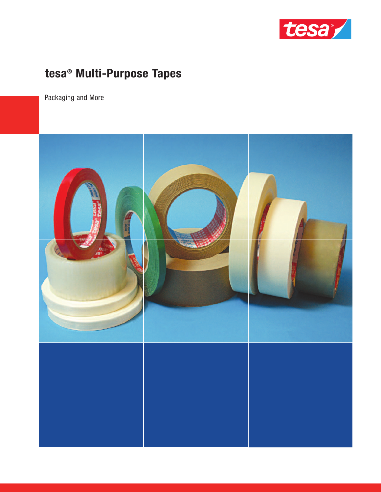

# tesa<sup>®</sup> Multi-Purpose Tapes

Packaging and More

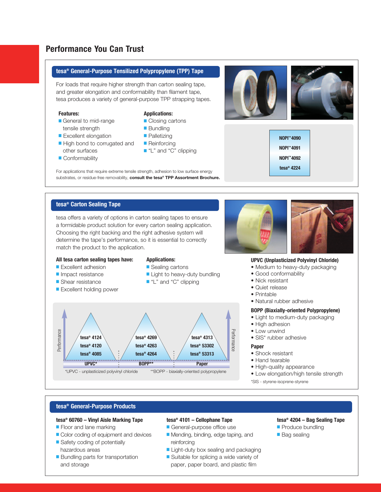# **Performance You Can Trust**

#### **tesa® General-Purpose Tensilized Polypropylene (TPP) Tape**

For loads that require higher strength than carton sealing tape, and greater elongation and conformability than filament tape, tesa produces a variety of general-purpose TPP strapping tapes.

#### **Features:**

- General to mid-range tensile strength
- Excellent elongation ■ High bond to corrugated and
- other surfaces ■ Conformability
- 

#### **Applications:**

- Closing cartons
- Bundling
- Palletizing
- Reinforcing
- "L" and "C" clipping

For applications that require extreme tensile strength, adhesion to low surface energy substrates, or residue-free removability, **consult the tesa® TPP Assortment Brochure.**

tesa offers a variety of options in carton sealing tapes to ensure a formidable product solution for every carton sealing application. Choosing the right backing and the right adhesive system will determine the tape's performance, so it is essential to correctly match the product to the application.





#### **UPVC (Unplasticized Polyvinyl Chloride)**

**NOPI ™4090 NOPI ™4091 NOPI ™4092 tesa® 4224**

- Medium to heavy-duty packaging
- Good conformability
- Quiet release
- Printable
- Natural rubber adhesive
- 
- High adhesion
- Low unwind
- SIS\* rubber adhesive

- Shock resistant
- Hand tearable
- High-quality appearance
- Low elongation/high tensile strength
- \*SIS styrene-isoprene-styrene

## **tesa® General-Purpose Products**

### **tesa® 60760 – Vinyl Aisle Marking Tape**

- Floor and lane marking
- Color coding of equipment and devices
- Safety coding of potentially hazardous areas
- Bundling parts for transportation and storage

#### **tesa® 4101 – Cellophane Tape**

- General-purpose office use
- Mending, binding, edge taping, and reinforcing
- Light-duty box sealing and packaging
- Suitable for splicing a wide variety of paper, paper board, and plastic film

### **tesa® 4204 – Bag Sealing Tape**

- Produce bundling
- Bag sealing
- Nick resistant
	- -
		-

### **BOPP (Biaxially-oriented Polypropylene)**

- Light to medium-duty packaging
- 
- -

#### **Paper**

- 
- 
- 
- 
- 

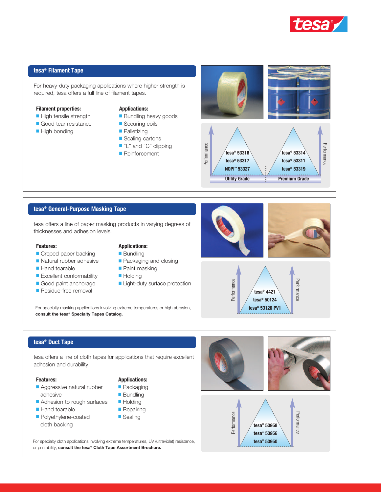

#### **tesa® Filament Tape**

For heavy-duty packaging applications where higher strength is required, tesa offers a full line of filament tapes.

#### **Filament properties:**

- High tensile strength
- Good tear resistance
- High bonding

#### **Applications:**

- Bundling heavy goods
- Securing coils
- Palletizing
- Sealing cartons
- "L" and "C" clipping
- Reinforcement



#### **tesa® General-Purpose Masking Tape**

tesa offers a line of paper masking products in varying degrees of thicknesses and adhesion levels.

#### **Features:**

- Creped paper backing
- Natural rubber adhesive
- Hand tearable
- Excellent conformability
- Good paint anchorage
- Residue-free removal

# **Applications:**

- Bundling
- Packaging and closing
- Paint masking
- Holding
- Light-duty surface protection

For specialty masking applications involving extreme temperatures or high abrasion, **consult the tesa® Specialty Tapes Catalog.**



### **tesa® Duct Tape**

tesa offers a line of cloth tapes for applications that require excellent adhesion and durability.

#### **Features:**

- Aggressive natural rubber adhesive
- Adhesion to rough surfaces
- Hand tearable
- Polyethylene-coated cloth backing

# **Applications:**

- Packaging
- Bundling
- Holding
- Repairing ■ Sealing

For specialty cloth applications involving extreme temperatures, UV (ultraviolet) resistance, or printability, **consult the tesa® Cloth Tape Assortment Brochure.**